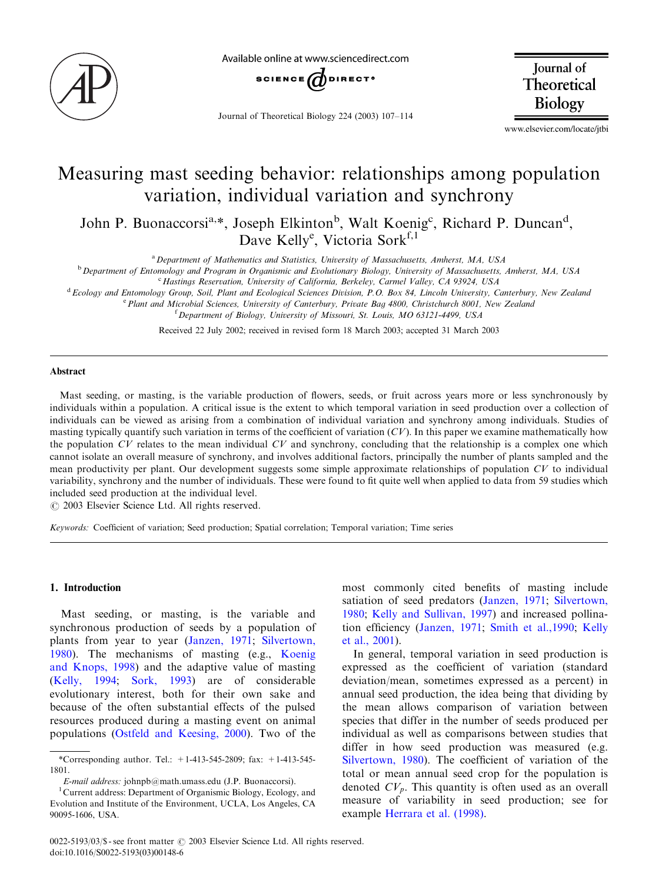

Available online at www.sciencedirect.com



Journal of Theoretical Biology 224 (2003) 107–114

Journal of Theoretical Biology

www.elsevier.com/locate/jtbi

# Measuring mast seeding behavior: relationships among population variation, individual variation and synchrony

John P. Buonaccorsi<sup>a,\*</sup>, Joseph Elkinton<sup>b</sup>, Walt Koenig<sup>c</sup>, Richard P. Duncan<sup>d</sup>, Dave Kelly<sup>e</sup>, Victoria Sork<sup>f,1</sup>

<sup>a</sup> Department of Mathematics and Statistics, University of Massachusetts, Amherst, MA, USA

<sup>b</sup> Department of Entomology and Program in Organismic and Evolutionary Biology, University of Massachusetts, Amherst, MA, USA

<sup>c</sup> Hastings Reservation, University of California, Berkeley, Carmel Valley, CA 93924, USA

<sup>d</sup> Ecology and Entomology Group, Soil, Plant and Ecological Sciences Division, P.O. Box 84, Lincoln University, Canterbury, New Zealand

<sup>e</sup> Plant and Microbial Sciences, University of Canterbury, Private Bag 4800, Christchurch 8001, New Zealand

<sup>f</sup> Department of Biology, University of Missouri, St. Louis, MO 63121-4499, USA

Received 22 July 2002; received in revised form 18 March 2003; accepted 31 March 2003

## Abstract

Mast seeding, or masting, is the variable production of flowers, seeds, or fruit across years more or less synchronously by individuals within a population. A critical issue is the extent to which temporal variation in seed production over a collection of individuals can be viewed as arising from a combination of individual variation and synchrony among individuals. Studies of masting typically quantify such variation in terms of the coefficient of variation  $(CV)$ . In this paper we examine mathematically how the population  $CV$  relates to the mean individual  $CV$  and synchrony, concluding that the relationship is a complex one which cannot isolate an overall measure of synchrony, and involves additional factors, principally the number of plants sampled and the mean productivity per plant. Our development suggests some simple approximate relationships of population CV to individual variability, synchrony and the number of individuals. These were found to fit quite well when applied to data from 59 studies which included seed production at the individual level.

 $O$  2003 Elsevier Science Ltd. All rights reserved.

Keywords: Coefficient of variation; Seed production; Spatial correlation; Temporal variation; Time series

## 1. Introduction

Mast seeding, or masting, is the variable and synchronous production of seeds by a population of plants from year to year [\(Janzen, 1971](#page-7-0); [Silvertown,](#page-7-0) [1980\)](#page-7-0). The mechanisms of masting (e.g., [Koenig](#page-7-0) [and Knops, 1998\)](#page-7-0) and the adaptive value of masting [\(Kelly, 1994;](#page-7-0) [Sork, 1993](#page-7-0)) are of considerable evolutionary interest, both for their own sake and because of the often substantial effects of the pulsed resources produced during a masting event on animal populations ([Ostfeld and Keesing, 2000\)](#page-7-0). Two of the most commonly cited benefits of masting include satiation of seed predators ([Janzen, 1971](#page-7-0); [Silvertown,](#page-7-0) [1980;](#page-7-0) [Kelly and Sullivan, 1997\)](#page-7-0) and increased pollination efficiency [\(Janzen, 1971;](#page-7-0) [Smith et al.,1990;](#page-7-0) [Kelly](#page-7-0) [et al., 2001](#page-7-0)).

In general, temporal variation in seed production is expressed as the coefficient of variation (standard deviation/mean, sometimes expressed as a percent) in annual seed production, the idea being that dividing by the mean allows comparison of variation between species that differ in the number of seeds produced per individual as well as comparisons between studies that differ in how seed production was measured (e.g. [Silvertown, 1980](#page-7-0)). The coefficient of variation of the total or mean annual seed crop for the population is denoted  $CV_p$ . This quantity is often used as an overall measure of variability in seed production; see for example [Herrara et al. \(1998\)](#page-6-0).

<sup>\*</sup>Corresponding author. Tel.:  $+1-413-545-2809$ ; fax:  $+1-413-545-$ 1801.

E-mail address: johnpb@math.umass.edu (J.P. Buonaccorsi). <sup>1</sup>

Current address: Department of Organismic Biology, Ecology, and Evolution and Institute of the Environment, UCLA, Los Angeles, CA 90095-1606, USA.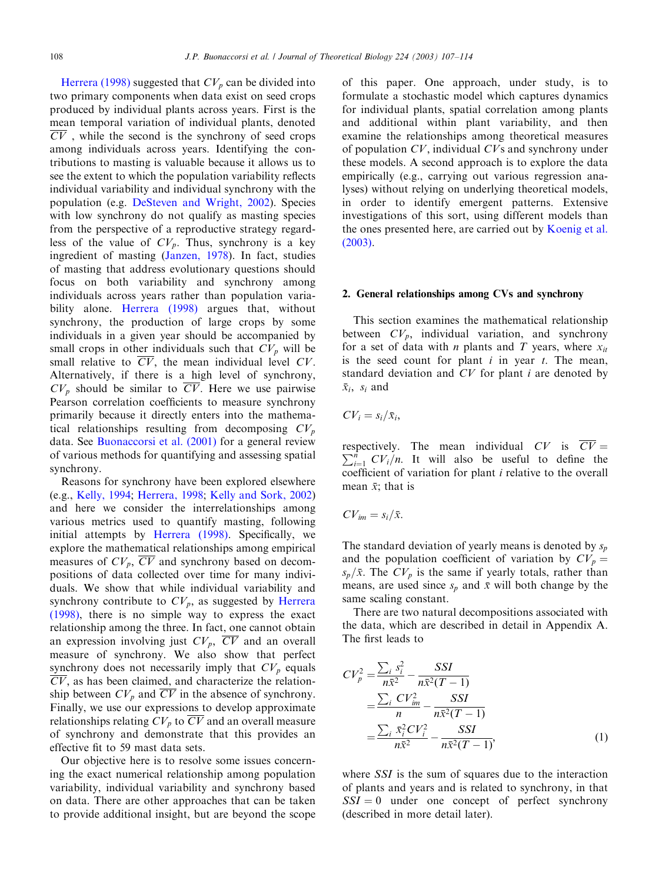[Herrera \(1998\)](#page-7-0) suggested that  $CV_p$  can be divided into two primary components when data exist on seed crops produced by individual plants across years. First is the mean temporal variation of individual plants, denoted  $\overline{CV}$ , while the second is the synchrony of seed crops among individuals across years. Identifying the contributions to masting is valuable because it allows us to see the extent to which the population variability reflects individual variability and individual synchrony with the population (e.g. [DeSteven and Wright, 2002\)](#page-6-0). Species with low synchrony do not qualify as masting species from the perspective of a reproductive strategy regardless of the value of  $CV_p$ . Thus, synchrony is a key ingredient of masting ([Janzen, 1978\)](#page-7-0). In fact, studies of masting that address evolutionary questions should focus on both variability and synchrony among individuals across years rather than population varia-bility alone. [Herrera \(1998\)](#page-7-0) argues that, without synchrony, the production of large crops by some individuals in a given year should be accompanied by small crops in other individuals such that  $CV_p$  will be small relative to  $\overline{CV}$ , the mean individual level CV. Alternatively, if there is a high level of synchrony,  $CV_p$  should be similar to  $\overline{CV}$ . Here we use pairwise Pearson correlation coefficients to measure synchrony primarily because it directly enters into the mathematical relationships resulting from decomposing  $CV_p$ data. See [Buonaccorsi et al. \(2001\)](#page-6-0) for a general review of various methods for quantifying and assessing spatial synchrony.

Reasons for synchrony have been explored elsewhere (e.g., [Kelly, 1994;](#page-7-0) [Herrera, 1998](#page-7-0); [Kelly and Sork, 2002\)](#page-7-0) and here we consider the interrelationships among various metrics used to quantify masting, following initial attempts by [Herrera \(1998\)](#page-7-0). Specifically, we explore the mathematical relationships among empirical measures of  $CV_p$ ,  $\overline{CV}$  and synchrony based on decompositions of data collected over time for many individuals. We show that while individual variability and synchrony contribute to  $CV_p$ , as suggested by [Herrera](#page-7-0) [\(1998\)](#page-7-0), there is no simple way to express the exact relationship among the three. In fact, one cannot obtain an expression involving just  $CV_p$ ,  $\overline{CV}$  and an overall measure of synchrony. We also show that perfect synchrony does not necessarily imply that  $CV_p$  equals  $\overline{CV}$ , as has been claimed, and characterize the relationship between  $CV_p$  and  $\overline{CV}$  in the absence of synchrony. Finally, we use our expressions to develop approximate relationships relating  $CV_p$  to  $\overline{CV}$  and an overall measure of synchrony and demonstrate that this provides an effective fit to 59 mast data sets.

Our objective here is to resolve some issues concerning the exact numerical relationship among population variability, individual variability and synchrony based on data. There are other approaches that can be taken to provide additional insight, but are beyond the scope of this paper. One approach, under study, is to formulate a stochastic model which captures dynamics for individual plants, spatial correlation among plants and additional within plant variability, and then examine the relationships among theoretical measures of population CV; individual CVs and synchrony under these models. A second approach is to explore the data empirically (e.g., carrying out various regression analyses) without relying on underlying theoretical models, in order to identify emergent patterns. Extensive investigations of this sort, using different models than the ones presented here, are carried out by [Koenig et al.](#page-7-0) [\(2003\)](#page-7-0).

## 2. General relationships among CVs and synchrony

This section examines the mathematical relationship between  $CV_p$ , individual variation, and synchrony for a set of data with *n* plants and *T* years, where  $x_{it}$ is the seed count for plant  $i$  in year  $t$ . The mean, standard deviation and CV for plant i are denoted by  $\bar{x}_i$ ,  $s_i$  and

 $CV_i = s_i/\bar{x}_i$ 

respectively. The mean individual CV is  $CV = \sum_{i=1}^{n} CV_{i}$  It will also be useful to define the  $\sum_{i=1}^{n} CV_i/n$ . It will also be useful to define the coefficient of variation for plant i relative to the overall mean  $\bar{x}$ ; that is

$$
CV_{im} = s_i/\bar{x}.
$$

The standard deviation of yearly means is denoted by  $s_n$ and the population coefficient of variation by  $CV_p =$  $s_p/\bar{x}$ . The  $CV_p$  is the same if yearly totals, rather than means, are used since  $s_p$  and  $\bar{x}$  will both change by the same scaling constant.

There are two natural decompositions associated with the data, which are described in detail in Appendix A. The first leads to

$$
CV_p^2 = \frac{\sum_i s_i^2}{n\bar{x}^2} - \frac{SSI}{n\bar{x}^2(T-1)}
$$
  
= 
$$
\frac{\sum_i CV_{im}^2}{n} - \frac{SSI}{n\bar{x}^2(T-1)}
$$
  
= 
$$
\frac{\sum_i \bar{x}_i^2 CV_i^2}{n\bar{x}^2} - \frac{SSI}{n\bar{x}^2(T-1)},
$$
 (1)

where *SSI* is the sum of squares due to the interaction of plants and years and is related to synchrony, in that  $SSI = 0$  under one concept of perfect synchrony (described in more detail later).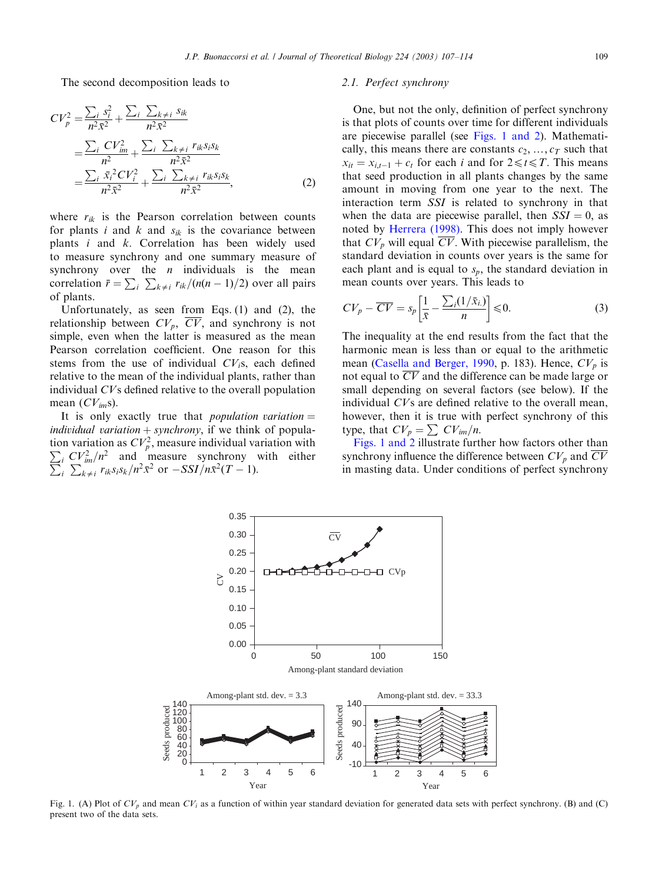<span id="page-2-0"></span>The second decomposition leads to

$$
CV_p^2 = \frac{\sum_i s_i^2}{n^2 \bar{x}^2} + \frac{\sum_i \sum_{k \neq i} s_{ik}}{n^2 \bar{x}^2}
$$
  
= 
$$
\frac{\sum_i CV_{im}^2}{n^2} + \frac{\sum_i \sum_{k \neq i} r_{ik} s_i s_k}{n^2 \bar{x}^2}
$$
  
= 
$$
\frac{\sum_i \bar{x}_i^2 CV_i^2}{n^2 \bar{x}^2} + \frac{\sum_i \sum_{k \neq i} r_{ik} s_i s_k}{n^2 \bar{x}^2},
$$
 (2)

where  $r_{ik}$  is the Pearson correlation between counts for plants i and k and  $s_{ik}$  is the covariance between plants i and k: Correlation has been widely used to measure synchrony and one summary measure of synchrony over the  $n$  individuals is the mean correlation  $\bar{r} = \sum_i \sum_{k \neq i} r_{ik}/(n(n-1)/2)$  over all pairs of plants.

Unfortunately, as seen from Eqs. (1) and (2), the relationship between  $CV_p$ ,  $\overline{CV}$ , and synchrony is not simple, even when the latter is measured as the mean Pearson correlation coefficient. One reason for this stems from the use of individual  $CV<sub>i</sub>$ s, each defined relative to the mean of the individual plants, rather than individual CVs defined relative to the overall population mean  $(CV_{im} s)$ .

It is only exactly true that *population variation*  $=$ individual variation  $+$  synchrony, if we think of population variation as  $CV_p^2$ , measure individual variation with<br> $\sum CV_1^2/n^2$  and measure synchrony with either  $\sum_{i} CV_{im}^{2}/n^{2}$  and measure synchrony with either  $\sum_{i} \sum_{k \neq i} r_{ik} s_i s_k / n^2 \bar{x}^2$  or  $-SSI/n\bar{x}^2(T-1)$ .

> 0.25 0.30 0.35

## 2.1. Perfect synchrony

One, but not the only, definition of perfect synchrony is that plots of counts over time for different individuals are piecewise parallel (see Figs. 1 and 2). Mathematically, this means there are constants  $c_2, ..., c_T$  such that  $x_{it} = x_{i,t-1} + c_t$  for each i and for  $2 \le t \le T$ . This means that seed production in all plants changes by the same amount in moving from one year to the next. The interaction term SSI is related to synchrony in that when the data are piecewise parallel, then  $SSI = 0$ , as noted by [Herrera \(1998\).](#page-7-0) This does not imply however that  $CV_p$  will equal  $\overline{CV}$ . With piecewise parallelism, the standard deviation in counts over years is the same for each plant and is equal to  $s_p$ , the standard deviation in mean counts over years. This leads to

$$
CV_p - \overline{CV} = s_p \left[ \frac{1}{\bar{x}} - \frac{\sum_i (1/\bar{x}_{i.})}{n} \right] \leq 0.
$$
 (3)

The inequality at the end results from the fact that the harmonic mean is less than or equal to the arithmetic mean [\(Casella and Berger, 1990,](#page-6-0) p. 183). Hence,  $CV_p$  is not equal to  $\overline{CV}$  and the difference can be made large or small depending on several factors (see below). If the individual CVs are defined relative to the overall mean, however, then it is true with perfect synchrony of this type, that  $CV_p = \sum CV_{im}/n$ .

Figs. 1 and 2 illustrate further how factors other than synchrony influence the difference between  $CV_p$  and  $CV$ in masting data. Under conditions of perfect synchrony



CV

Fig. 1. (A) Plot of  $CV_p$  and mean  $CV_i$  as a function of within year standard deviation for generated data sets with perfect synchrony. (B) and (C) present two of the data sets.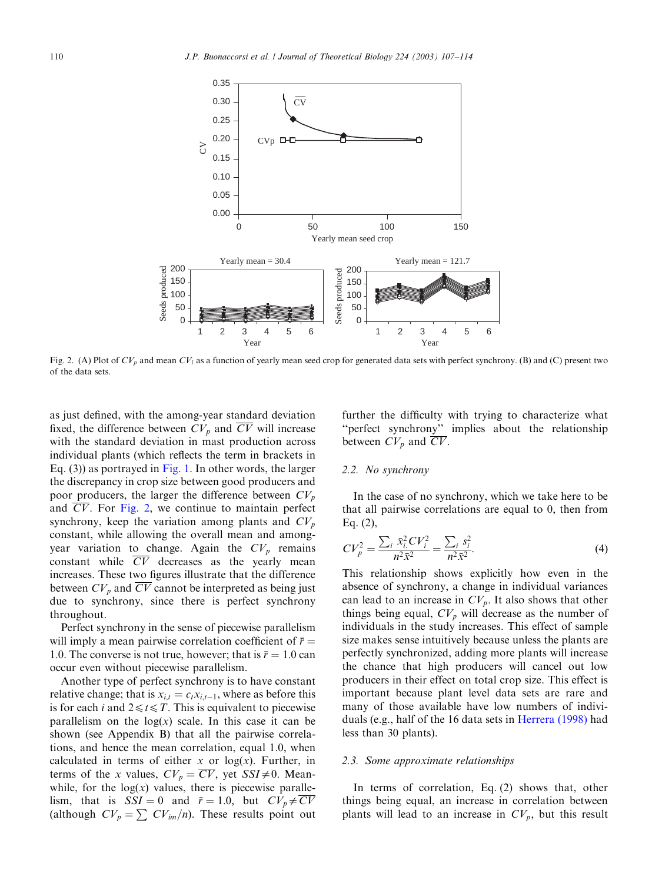

Fig. 2. (A) Plot of  $CV_p$  and mean  $CV_i$  as a function of yearly mean seed crop for generated data sets with perfect synchrony. (B) and (C) present two of the data sets.

as just defined, with the among-year standard deviation fixed, the difference between  $CV_p$  and  $\overline{CV}$  will increase with the standard deviation in mast production across individual plants (which reflects the term in brackets in Eq. (3)) as portrayed in [Fig. 1](#page-2-0). In other words, the larger the discrepancy in crop size between good producers and poor producers, the larger the difference between  $CV_p$ and CV: For Fig. 2, we continue to maintain perfect synchrony, keep the variation among plants and  $CV_p$ constant, while allowing the overall mean and amongyear variation to change. Again the  $CV_p$  remains constant while  $\overline{CV}$  decreases as the yearly mean increases. These two figures illustrate that the difference between  $CV_p$  and  $\overline{CV}$  cannot be interpreted as being just due to synchrony, since there is perfect synchrony throughout.

Perfect synchrony in the sense of piecewise parallelism will imply a mean pairwise correlation coefficient of  $\bar{r} =$ 1.0. The converse is not true, however; that is  $\bar{r} = 1.0$  can occur even without piecewise parallelism.

Another type of perfect synchrony is to have constant relative change; that is  $x_{i,t} = c_t x_{i,t-1}$ , where as before this is for each *i* and  $2 \le t \le T$ . This is equivalent to piecewise parallelism on the  $log(x)$  scale. In this case it can be shown (see Appendix B) that all the pairwise correlations, and hence the mean correlation, equal 1.0, when calculated in terms of either x or  $log(x)$ . Further, in terms of the x values,  $CV_p = \overline{CV}$ , yet  $SSI \neq 0$ . Meanwhile, for the  $log(x)$  values, there is piecewise parallelism, that is  $SSI = 0$  and  $\bar{r} = 1.0$ , but  $CV_p \neq \overline{CV}$ (although  $CV_p = \sum CV_{im}/n$ ). These results point out further the difficulty with trying to characterize what ''perfect synchrony'' implies about the relationship between  $CV_p$  and  $\overline{CV}$ .

## 2.2. No synchrony

In the case of no synchrony, which we take here to be that all pairwise correlations are equal to 0, then from Eq. (2),

$$
CV_p^2 = \frac{\sum_i \bar{x}_i^2 CV_i^2}{n^2 \bar{x}^2} = \frac{\sum_i s_i^2}{n^2 \bar{x}^2}.
$$
 (4)

This relationship shows explicitly how even in the absence of synchrony, a change in individual variances can lead to an increase in  $CV_p$ . It also shows that other things being equal,  $CV_p$  will decrease as the number of individuals in the study increases. This effect of sample size makes sense intuitively because unless the plants are perfectly synchronized, adding more plants will increase the chance that high producers will cancel out low producers in their effect on total crop size. This effect is important because plant level data sets are rare and many of those available have low numbers of individuals (e.g., half of the 16 data sets in [Herrera \(1998\)](#page-7-0) had less than 30 plants).

#### 2.3. Some approximate relationships

In terms of correlation, Eq. (2) shows that, other things being equal, an increase in correlation between plants will lead to an increase in  $CV_p$ , but this result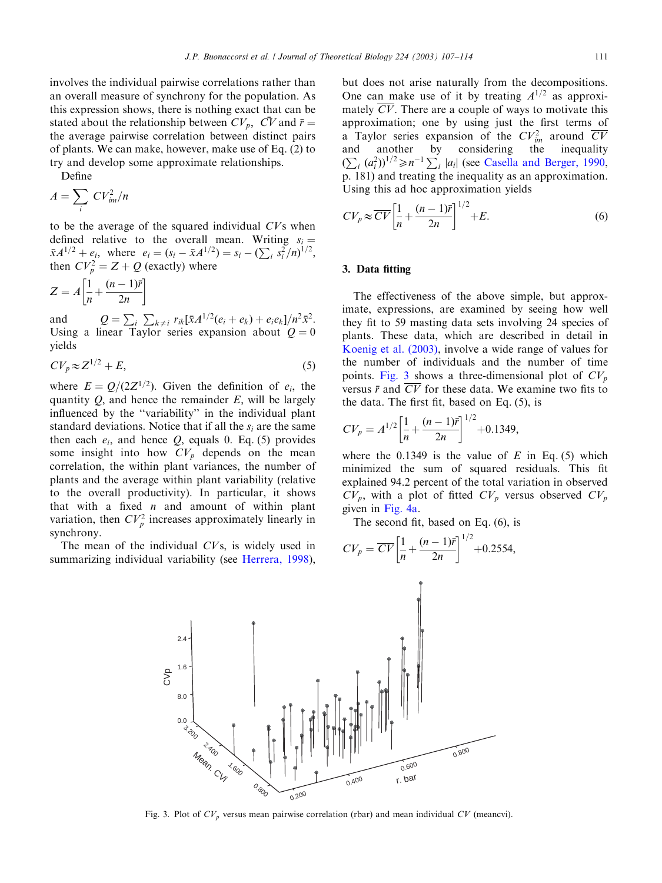Define

$$
A = \sum_{i} CV_{im}^{2}/n
$$

to be the average of the squared individual CVs when defined relative to the overall mean. Writing  $s_i = \bar{x}A^{1/2} + e_i$ , where  $e_i = (s_i - \bar{x}A^{1/2}) = s_i - (\sum_i s_i^2/n)^{1/2}$ , then  $CV_p^2 = Z + Q$  (exactly) where

$$
Z = A \left[ \frac{1}{n} + \frac{(n-1)\bar{r}}{2n} \right]
$$

and  $Q = \sum_{i} \sum_{k \neq i} r_{ik} [\bar{x} A^{1/2} (e_i + e_k) + e_i e_k] / n^2 \bar{x}^2$ . Using a linear Taylor series expansion about  $Q = 0$ yields

$$
CV_p \approx Z^{1/2} + E,\tag{5}
$$

where  $E = Q/(2Z^{1/2})$ . Given the definition of  $e_i$ , the quantity  $Q$ , and hence the remainder  $E$ , will be largely influenced by the ''variability'' in the individual plant standard deviations. Notice that if all the  $s_i$  are the same then each  $e_i$ , and hence  $Q$ , equals 0. Eq. (5) provides some insight into how  $CV_p$  depends on the mean correlation, the within plant variances, the number of plants and the average within plant variability (relative to the overall productivity). In particular, it shows that with a fixed  $n$  and amount of within plant variation, then  $CV_p^2$  increases approximately linearly in synchrony.

The mean of the individual CVs, is widely used in summarizing individual variability (see [Herrera, 1998\)](#page-7-0), but does not arise naturally from the decompositions. One can make use of it by treating  $A^{1/2}$  as approximately  $\overline{CV}$ . There are a couple of ways to motivate this approximation; one by using just the first terms of a Taylor series expansion of the  $CV^2_{im}$  around  $\overline{CV}$ and another by considering the inequality  $(\sum_i (a_i^2))^{1/2} \ge n^{-1} \sum_i |a_i|$  (see [Casella and Berger, 1990](#page-6-0), p. 181) and treating the inequality as an approximation.

Using this ad hoc approximation yields

$$
CV_p \approx \overline{CV} \left[ \frac{1}{n} + \frac{(n-1)\overline{r}}{2n} \right]^{1/2} + E.
$$
 (6)

# 3. Data fitting

The effectiveness of the above simple, but approximate, expressions, are examined by seeing how well they fit to 59 masting data sets involving 24 species of plants. These data, which are described in detail in [Koenig et al. \(2003\),](#page-7-0) involve a wide range of values for the number of individuals and the number of time points. Fig. 3 shows a three-dimensional plot of  $CV_p$ versus  $\bar{r}$  and  $\overline{CV}$  for these data. We examine two fits to the data. The first fit, based on Eq. (5), is

$$
CV_p = A^{1/2} \left[ \frac{1}{n} + \frac{(n-1)\bar{r}}{2n} \right]^{1/2} + 0.1349,
$$

where the 0.1349 is the value of  $E$  in Eq. (5) which minimized the sum of squared residuals. This fit explained 94.2 percent of the total variation in observed  $CV_p$ , with a plot of fitted  $CV_p$  versus observed  $CV_p$ given in [Fig. 4a.](#page-5-0)

 $+0.2554,$ 

The second fit, based on Eq. (6), is  $\left[1-(n-1)\bar{n}\right]^{1/2}$ 



Fig. 3. Plot of  $CV_p$  versus mean pairwise correlation (rbar) and mean individual CV (meancvi).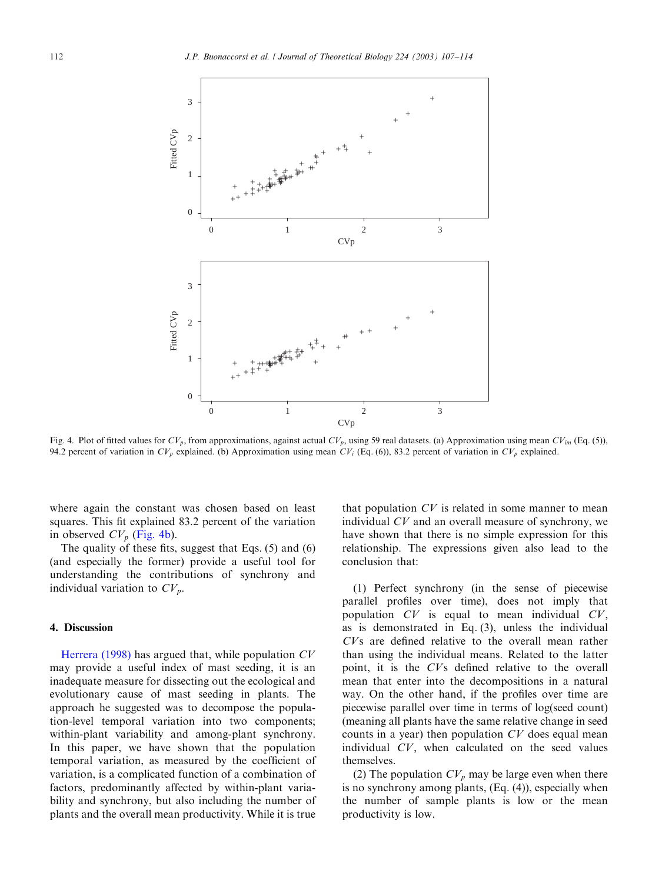<span id="page-5-0"></span>

Fig. 4. Plot of fitted values for  $CV_p$ , from approximations, against actual  $CV_p$ , using 59 real datasets. (a) Approximation using mean  $CV_{im}$  (Eq. (5)), 94.2 percent of variation in  $CV_p$  explained. (b) Approximation using mean  $CV_i$  (Eq. (6)), 83.2 percent of variation in  $CV_p$  explained.

where again the constant was chosen based on least squares. This fit explained 83.2 percent of the variation in observed  $CV_p$  (Fig. 4b).

The quality of these fits, suggest that Eqs. (5) and (6) (and especially the former) provide a useful tool for understanding the contributions of synchrony and individual variation to  $CV_p$ .

## 4. Discussion

[Herrera \(1998\)](#page-7-0) has argued that, while population  $CV$ may provide a useful index of mast seeding, it is an inadequate measure for dissecting out the ecological and evolutionary cause of mast seeding in plants. The approach he suggested was to decompose the population-level temporal variation into two components; within-plant variability and among-plant synchrony. In this paper, we have shown that the population temporal variation, as measured by the coefficient of variation, is a complicated function of a combination of factors, predominantly affected by within-plant variability and synchrony, but also including the number of plants and the overall mean productivity. While it is true

that population  $CV$  is related in some manner to mean individual CV and an overall measure of synchrony, we have shown that there is no simple expression for this relationship. The expressions given also lead to the conclusion that:

(1) Perfect synchrony (in the sense of piecewise parallel profiles over time), does not imply that population  $CV$  is equal to mean individual  $CV$ , as is demonstrated in Eq. (3), unless the individual CVs are defined relative to the overall mean rather than using the individual means. Related to the latter point, it is the CVs defined relative to the overall mean that enter into the decompositions in a natural way. On the other hand, if the profiles over time are piecewise parallel over time in terms of log(seed count) (meaning all plants have the same relative change in seed counts in a year) then population CV does equal mean individual CV; when calculated on the seed values themselves.

(2) The population  $CV_p$  may be large even when there is no synchrony among plants, (Eq. (4)), especially when the number of sample plants is low or the mean productivity is low.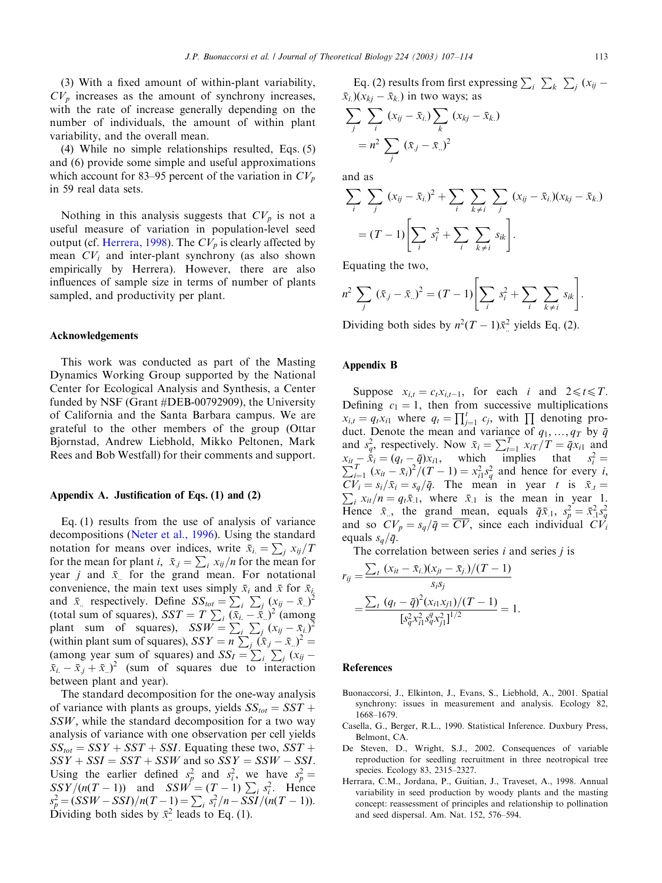<span id="page-6-0"></span>(4) While no simple relationships resulted, Eqs. (5) and (6) provide some simple and useful approximations which account for 83–95 percent of the variation in  $CV_p$ in 59 real data sets.

Nothing in this analysis suggests that  $CV_p$  is not a useful measure of variation in population-level seed output (cf. [Herrera, 1998](#page-7-0)). The  $CV_p$  is clearly affected by mean  $CV_i$  and inter-plant synchrony (as also shown empirically by Herrera). However, there are also influences of sample size in terms of number of plants sampled, and productivity per plant.

#### Acknowledgements

This work was conducted as part of the Masting Dynamics Working Group supported by the National Center for Ecological Analysis and Synthesis, a Center funded by NSF (Grant #DEB-00792909), the University of California and the Santa Barbara campus. We are grateful to the other members of the group (Ottar Bjornstad, Andrew Liebhold, Mikko Peltonen, Mark Rees and Bob Westfall) for their comments and support.

## Appendix A. Justification of Eqs. (1) and (2)

Eq. (1) results from the use of analysis of variance decompositions ([Neter et al., 1996](#page-7-0)). Using the standard notation for means over indices, write  $\bar{x}_i = \sum_j x_{ij}/T$ for the mean for plant  $i$ ,  $\bar{x}_j = \sum_i x_{ij}/n$  for the mean for year *j* and  $\bar{x}$  for the grand mean. For notational convenience, the main text uses simply  $\bar{x}_i$  and  $\bar{x}$  for  $\bar{x}_i$ . and  $\bar{x}_i$  respectively. Define  $SS_{tot} = \sum_i \sum_j (x_{ij} - \bar{x}_i)^2$ (total sum of squares),  $SST = T \sum_i (\bar{x}_i - \bar{x}_i)^2$  (among plant sum of squares),  $SSW = \sum_i \sum_j (x_{ij} - \bar{x}_{i.})^2$ (within plant sum of squares),  $SSY = n \sum_j (\bar{x}_j - \bar{x}_i)^2 =$ (among year sum of squares) and  $SS_I = \sum_i \sum_j (x_{ij} - \sum_j x_{ij})$  $(\bar{x}_i - \bar{x}_j + \bar{x}_i)^2$  (sum of squares due to interaction between plant and year).

The standard decomposition for the one-way analysis of variance with plants as groups, yields  $SS_{tot} = SST +$  $SSW$ , while the standard decomposition for a two way analysis of variance with one observation per cell yields  $SS_{tot} = SSY + SST + SSI$ . Equating these two,  $SST +$  $SSY + SST = SST + SSW$  and so  $SSY = SSW - SSI$ . Using the earlier defined  $s_p^2$  and  $s_i^2$ , we have  $s_p^2 =$  $SSY/(n(T-1))$  and  $SSW = (T-1)\sum_i s_i^2$ . Hence  $s_p^2 = (SSW - SSI)/n(T - 1) = \sum_i s_i^2/n - SSI/(n(T - 1)).$ Dividing both sides by  $\bar{x}^2$  leads to Eq. (1).

Eq. (2) results from first expressing  $\sum_i \sum_k \sum_j (x_{ij} (\bar{x}_i)(x_{ki} - \bar{x}_k)$  in two ways; as

$$
\sum_{j} \sum_{i} (x_{ij} - \bar{x}_{i.}) \sum_{k} (x_{kj} - \bar{x}_{k.})
$$

$$
= n^2 \sum_{j} (\bar{x}_{j} - \bar{x}_{..})^2
$$

and as

$$
\sum_{i} \sum_{j} (x_{ij} - \bar{x}_{i.})^{2} + \sum_{i} \sum_{k \neq i} \sum_{j} (x_{ij} - \bar{x}_{i.})(x_{kj} - \bar{x}_{k.})
$$

$$
= (T - 1) \left[ \sum_{i} s_{i}^{2} + \sum_{i} \sum_{k \neq i} s_{ik} \right].
$$

Equating the two,

$$
n^{2} \sum_{j} (\bar{x}_{j} - \bar{x}_{..})^{2} = (T - 1) \left[ \sum_{i} s_{i}^{2} + \sum_{i} \sum_{k \neq i} s_{ik} \right].
$$

Dividing both sides by  $n^2(T-1)\bar{x}^2$  yields Eq. (2).

# Appendix B

Suppose  $x_{i,t} = c_t x_{i,t-1}$ , for each i and  $2 \le t \le T$ . Defining  $c_1 = 1$ , then from successive multiplications  $x_{i,t} = q_t x_{i1}$  where  $q_t = \prod_{j=1}^t c_j$ , with  $\prod$  denoting product. Denote the mean and variance of  $q_1, \ldots, q_T$  by  $\bar{q}$ and  $s_q^2$ , respectively. Now  $\bar{x}_i = \sum_{t=1}^T x_{iT}/T = \bar{q}x_{i1}$  and  $x_{it} - \dot{\bar{x}}_i = (q_t - \bar{q})x_{i1}$ , which implies that  $s_i^2 = \sum_{i=1}^T (x_{it} - \bar{x}_i)^2 / (T - 1) = x_{i1}^2 s_q^2$  and hence for every *i*,  $CV_i = s_i / \bar{x}_i = s_q / \bar{q}$ . The mean in year t is  $\bar{x}_i = \sum_{k=1}^{\infty} x_k / n = q \bar{x}_i$ , where  $\bar{x}_i$  is the mean in year 1  $\sum_i x_{it}/n = q_t \bar{x}_{.1}$ , where  $\bar{x}_{.1}$  is the mean in year 1. Hence  $\bar{x}_{..}$ , the grand mean, equals  $\bar{q}\bar{x}_{.1}$ ,  $s_p^2 = \bar{x}_{.1}^2 s_q^2$ and so  $CV_p = s_q/\bar{q} = \overline{CV}$ , since each individual  $CV_i$ equals  $s_a/\bar{q}$ .

The correlation between series  $i$  and series  $j$  is

$$
r_{ij} = \frac{\sum_{t} (x_{it} - \bar{x}_{i.})(x_{jt} - \bar{x}_{j.})/(T - 1)}{s_{i}s_{j}}
$$
  
= 
$$
\frac{\sum_{t} (q_{t} - \bar{q})^{2} (x_{i1}x_{j1})/(T - 1)}{[s_{q}^{2}x_{i1}^{2}s_{q}^{2}x_{j1}^{2}]^{1/2}} = 1.
$$

#### References

- Buonaccorsi, J., Elkinton, J., Evans, S., Liebhold, A., 2001. Spatial synchrony: issues in measurement and analysis. Ecology 82, 1668–1679.
- Casella, G., Berger, R.L., 1990. Statistical Inference. Duxbury Press, Belmont, CA.
- De Steven, D., Wright, S.J., 2002. Consequences of variable reproduction for seedling recruitment in three neotropical tree species. Ecology 83, 2315–2327.
- Herrara, C.M., Jordana, P., Guitian, J., Traveset, A., 1998. Annual variability in seed production by woody plants and the masting concept: reassessment of principles and relationship to pollination and seed dispersal. Am. Nat. 152, 576–594.